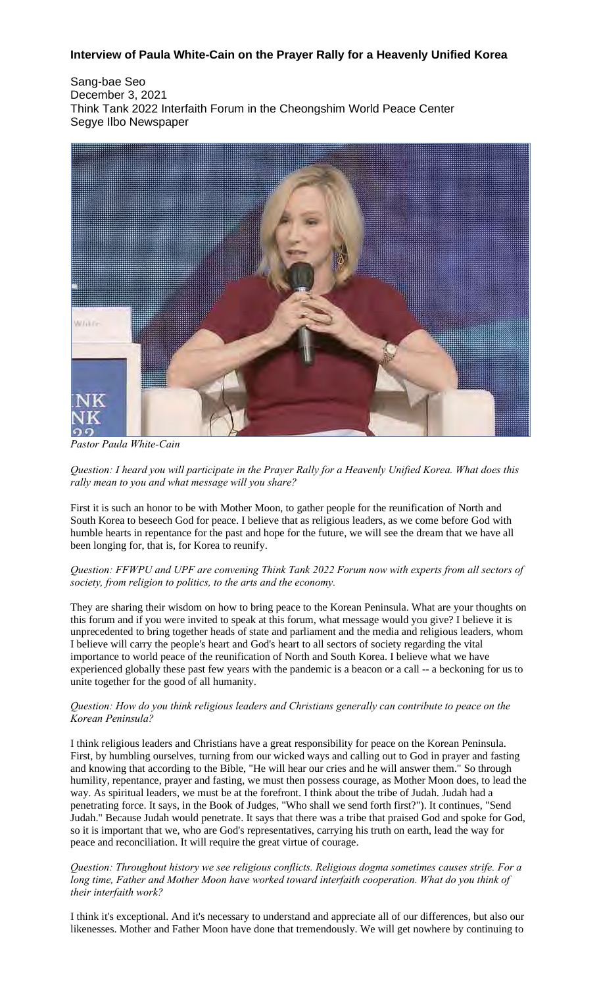# **Interview of Paula White-Cain on the Prayer Rally for a Heavenly Unified Korea**

Sang-bae Seo December 3, 2021 Think Tank 2022 Interfaith Forum in the Cheongshim World Peace Center Segye Ilbo Newspaper



*Pastor Paula White-Cain*

Question: I heard you will participate in the Prayer Rally for a Heavenly Unified Korea. What does this *rally mean to you and what message will you share?*

First it is such an honor to be with Mother Moon, to gather people for the reunification of North and South Korea to beseech God for peace. I believe that as religious leaders, as we come before God with humble hearts in repentance for the past and hope for the future, we will see the dream that we have all been longing for, that is, for Korea to reunify.

## *Question: FFWPU and UPF are convening Think Tank 2022 Forum now with experts from all sectors of society, from religion to politics, to the arts and the economy.*

They are sharing their wisdom on how to bring peace to the Korean Peninsula. What are your thoughts on this forum and if you were invited to speak at this forum, what message would you give? I believe it is unprecedented to bring together heads of state and parliament and the media and religious leaders, whom I believe will carry the people's heart and God's heart to all sectors of society regarding the vital importance to world peace of the reunification of North and South Korea. I believe what we have experienced globally these past few years with the pandemic is a beacon or a call -- a beckoning for us to unite together for the good of all humanity.

## *Question: How do you think religious leaders and Christians generally can contribute to peace on the Korean Peninsula?*

I think religious leaders and Christians have a great responsibility for peace on the Korean Peninsula. First, by humbling ourselves, turning from our wicked ways and calling out to God in prayer and fasting and knowing that according to the Bible, "He will hear our cries and he will answer them." So through humility, repentance, prayer and fasting, we must then possess courage, as Mother Moon does, to lead the way. As spiritual leaders, we must be at the forefront. I think about the tribe of Judah. Judah had a penetrating force. It says, in the Book of Judges, "Who shall we send forth first?"). It continues, "Send Judah." Because Judah would penetrate. It says that there was a tribe that praised God and spoke for God, so it is important that we, who are God's representatives, carrying his truth on earth, lead the way for peace and reconciliation. It will require the great virtue of courage.

*Question: Throughout history we see religious conflicts. Religious dogma sometimes causes strife. For a long time, Father and Mother Moon have worked toward interfaith cooperation. What do you think of their interfaith work?*

I think it's exceptional. And it's necessary to understand and appreciate all of our differences, but also our likenesses. Mother and Father Moon have done that tremendously. We will get nowhere by continuing to